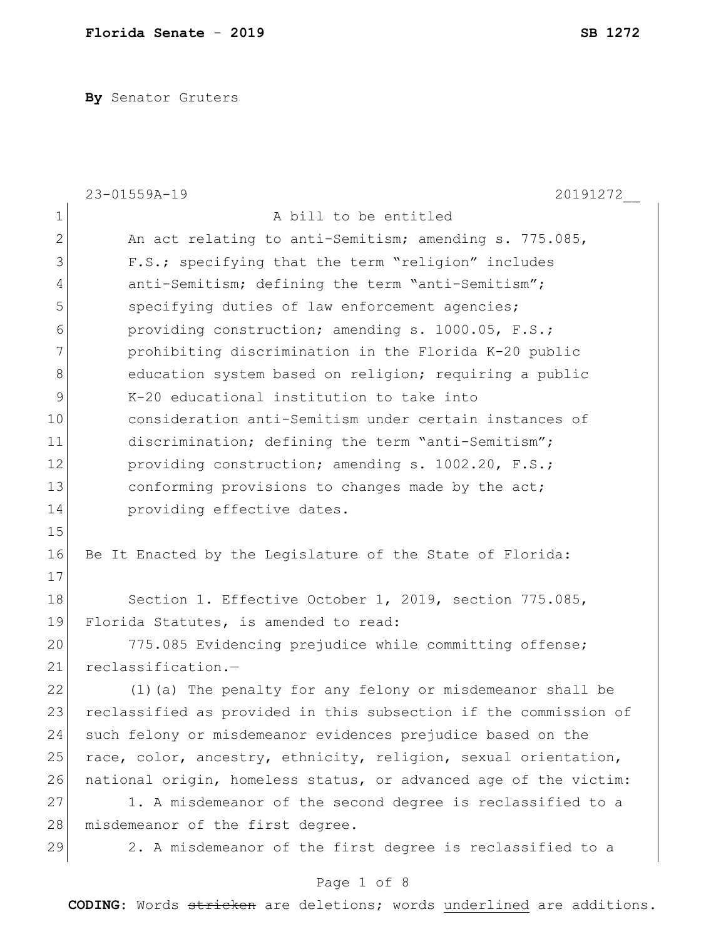**By** Senator Gruters

|                | 23-01559A-19<br>20191272                                         |
|----------------|------------------------------------------------------------------|
| $\mathbf 1$    | A bill to be entitled                                            |
| $\overline{2}$ | An act relating to anti-Semitism; amending s. 775.085,           |
| 3              | F.S.; specifying that the term "religion" includes               |
| $\overline{4}$ | anti-Semitism; defining the term "anti-Semitism";                |
| 5              | specifying duties of law enforcement agencies;                   |
| 6              | providing construction; amending s. 1000.05, F.S.;               |
| 7              | prohibiting discrimination in the Florida K-20 public            |
| 8              | education system based on religion; requiring a public           |
| 9              | K-20 educational institution to take into                        |
| 10             | consideration anti-Semitism under certain instances of           |
| 11             | discrimination; defining the term "anti-Semitism";               |
| 12             | providing construction; amending s. 1002.20, F.S.;               |
| 13             | conforming provisions to changes made by the act;                |
| 14             | providing effective dates.                                       |
| 15             |                                                                  |
| 16             | Be It Enacted by the Legislature of the State of Florida:        |
| 17             |                                                                  |
| 18             | Section 1. Effective October 1, 2019, section 775.085,           |
| 19             | Florida Statutes, is amended to read:                            |
| 20             | 775.085 Evidencing prejudice while committing offense;           |
| 21             | reclassification.-                                               |
| 22             | (1) (a) The penalty for any felony or misdemeanor shall be       |
| 23             | reclassified as provided in this subsection if the commission of |
| 24             | such felony or misdemeanor evidences prejudice based on the      |
| 25             | race, color, ancestry, ethnicity, religion, sexual orientation,  |
| 26             | national origin, homeless status, or advanced age of the victim: |
| 27             | 1. A misdemeanor of the second degree is reclassified to a       |
| 28             | misdemeanor of the first degree.                                 |
| 29             | 2. A misdemeanor of the first degree is reclassified to a        |
|                | Page 1 of 8                                                      |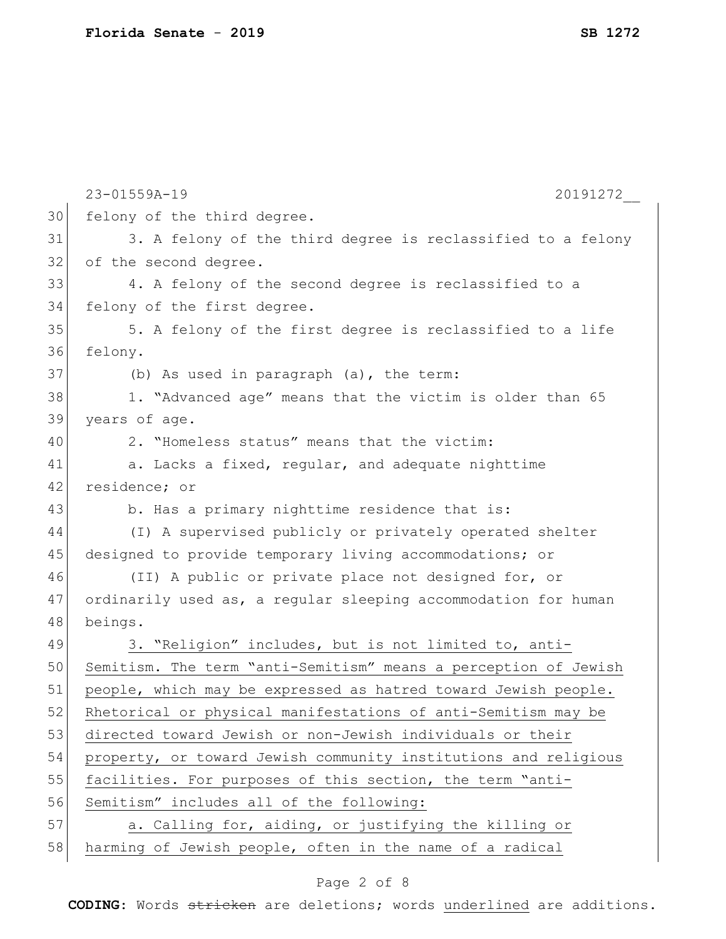|    | 23-01559A-19<br>20191272                                        |
|----|-----------------------------------------------------------------|
| 30 | felony of the third degree.                                     |
| 31 | 3. A felony of the third degree is reclassified to a felony     |
| 32 | of the second degree.                                           |
| 33 | 4. A felony of the second degree is reclassified to a           |
| 34 | felony of the first degree.                                     |
| 35 | 5. A felony of the first degree is reclassified to a life       |
| 36 | felony.                                                         |
| 37 | (b) As used in paragraph (a), the term:                         |
| 38 | 1. "Advanced age" means that the victim is older than 65        |
| 39 | years of age.                                                   |
| 40 | 2. "Homeless status" means that the victim:                     |
| 41 | a. Lacks a fixed, regular, and adequate nighttime               |
| 42 | residence; or                                                   |
| 43 | b. Has a primary nighttime residence that is:                   |
| 44 | (I) A supervised publicly or privately operated shelter         |
| 45 | designed to provide temporary living accommodations; or         |
| 46 | (II) A public or private place not designed for, or             |
| 47 | ordinarily used as, a regular sleeping accommodation for human  |
| 48 | beings.                                                         |
| 49 | 3. "Religion" includes, but is not limited to, anti-            |
| 50 | Semitism. The term "anti-Semitism" means a perception of Jewish |
| 51 | people, which may be expressed as hatred toward Jewish people.  |
| 52 | Rhetorical or physical manifestations of anti-Semitism may be   |
| 53 | directed toward Jewish or non-Jewish individuals or their       |
| 54 | property, or toward Jewish community institutions and religious |
| 55 | facilities. For purposes of this section, the term "anti-       |
| 56 | Semitism" includes all of the following:                        |
| 57 | a. Calling for, aiding, or justifying the killing or            |
| 58 | harming of Jewish people, often in the name of a radical        |

# Page 2 of 8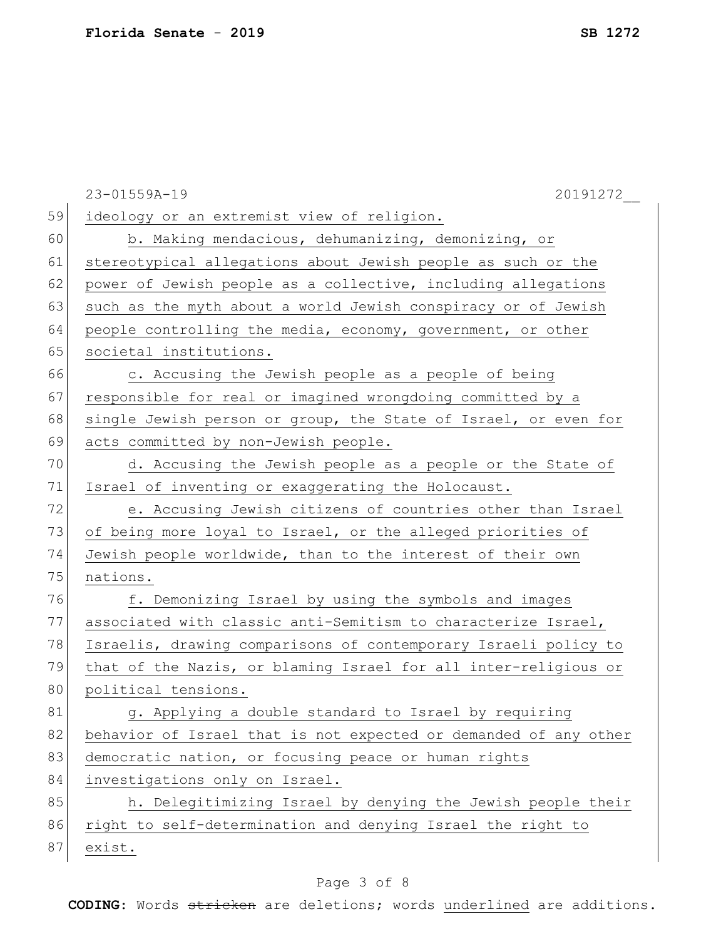|    | 20191272<br>23-01559A-19                                         |
|----|------------------------------------------------------------------|
| 59 | ideology or an extremist view of religion.                       |
| 60 | b. Making mendacious, dehumanizing, demonizing, or               |
| 61 | stereotypical allegations about Jewish people as such or the     |
| 62 | power of Jewish people as a collective, including allegations    |
| 63 | such as the myth about a world Jewish conspiracy or of Jewish    |
| 64 | people controlling the media, economy, government, or other      |
| 65 | societal institutions.                                           |
| 66 | c. Accusing the Jewish people as a people of being               |
| 67 | responsible for real or imagined wrongdoing committed by a       |
| 68 | single Jewish person or group, the State of Israel, or even for  |
| 69 | acts committed by non-Jewish people.                             |
| 70 | d. Accusing the Jewish people as a people or the State of        |
| 71 | Israel of inventing or exaggerating the Holocaust.               |
| 72 | e. Accusing Jewish citizens of countries other than Israel       |
| 73 | of being more loyal to Israel, or the alleged priorities of      |
| 74 | Jewish people worldwide, than to the interest of their own       |
| 75 | nations.                                                         |
| 76 | f. Demonizing Israel by using the symbols and images             |
| 77 | associated with classic anti-Semitism to characterize Israel,    |
| 78 | Israelis, drawing comparisons of contemporary Israeli policy to  |
| 79 | that of the Nazis, or blaming Israel for all inter-religious or  |
| 80 | political tensions.                                              |
| 81 | g. Applying a double standard to Israel by requiring             |
| 82 | behavior of Israel that is not expected or demanded of any other |
| 83 | democratic nation, or focusing peace or human rights             |
| 84 | investigations only on Israel.                                   |
| 85 | h. Delegitimizing Israel by denying the Jewish people their      |
| 86 | right to self-determination and denying Israel the right to      |
| 87 | exist.                                                           |

# Page 3 of 8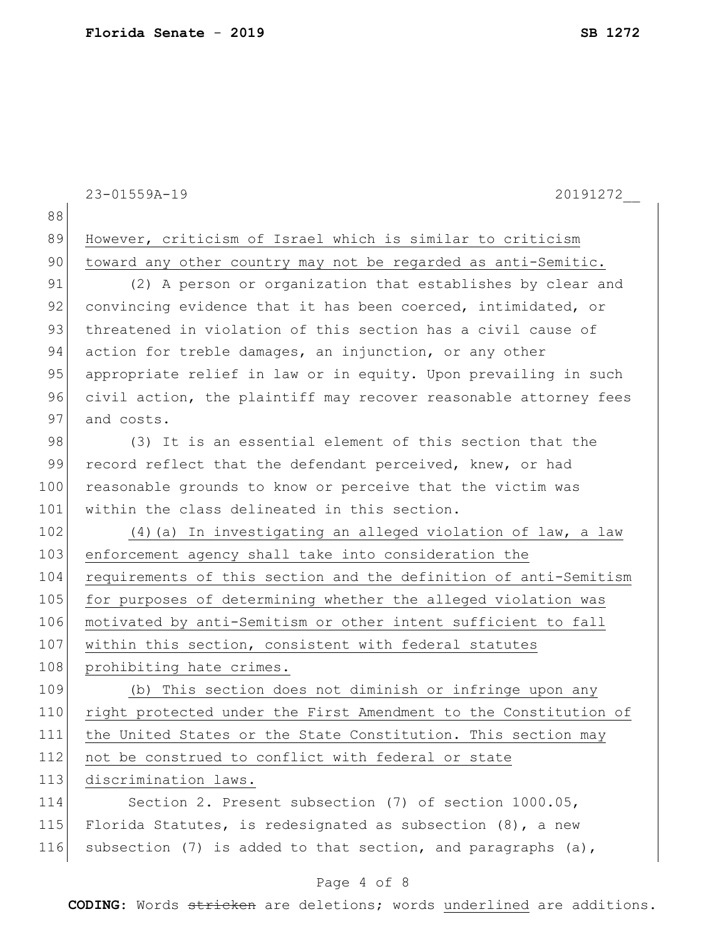|     | $23 - 01559A - 19$<br>20191272                                   |
|-----|------------------------------------------------------------------|
| 88  |                                                                  |
| 89  | However, criticism of Israel which is similar to criticism       |
| 90  | toward any other country may not be regarded as anti-Semitic.    |
| 91  | (2) A person or organization that establishes by clear and       |
| 92  | convincing evidence that it has been coerced, intimidated, or    |
| 93  | threatened in violation of this section has a civil cause of     |
| 94  | action for treble damages, an injunction, or any other           |
| 95  | appropriate relief in law or in equity. Upon prevailing in such  |
| 96  | civil action, the plaintiff may recover reasonable attorney fees |
| 97  | and costs.                                                       |
| 98  | (3) It is an essential element of this section that the          |
| 99  | record reflect that the defendant perceived, knew, or had        |
| 100 | reasonable grounds to know or perceive that the victim was       |
| 101 | within the class delineated in this section.                     |
| 102 | (4) (a) In investigating an alleged violation of law, a law      |
| 103 | enforcement agency shall take into consideration the             |
| 104 | requirements of this section and the definition of anti-Semitism |
| 105 | for purposes of determining whether the alleged violation was    |
| 106 | motivated by anti-Semitism or other intent sufficient to fall    |
| 107 | within this section, consistent with federal statutes            |
| 108 | prohibiting hate crimes.                                         |
| 109 | (b) This section does not diminish or infringe upon any          |
| 110 | right protected under the First Amendment to the Constitution of |
| 111 | the United States or the State Constitution. This section may    |
| 112 | not be construed to conflict with federal or state               |
| 113 | discrimination laws.                                             |
| 114 | Section 2. Present subsection (7) of section 1000.05,            |
| 115 | Florida Statutes, is redesignated as subsection $(8)$ , a new    |
| 116 | subsection (7) is added to that section, and paragraphs (a),     |

# Page 4 of 8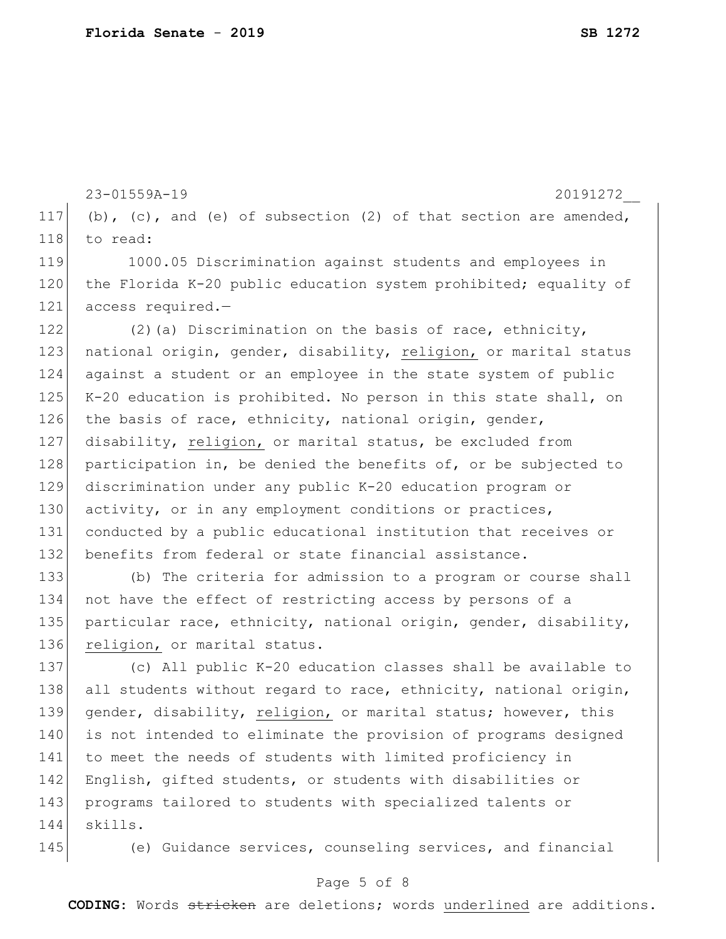23-01559A-19 20191272\_\_ 117 (b), (c), and (e) of subsection (2) of that section are amended, 118 to read: 120 the Florida K-20 public education system prohibited; equality of 122 (2) (a) Discrimination on the basis of race, ethnicity, 123 | national origin, gender, disability, religion, or marital status 124 against a student or an employee in the state system of public 125 K-20 education is prohibited. No person in this state shall, on 126 the basis of race, ethnicity, national origin, gender, 127 disability, religion, or marital status, be excluded from 128 participation in, be denied the benefits of, or be subjected to 129 discrimination under any public K-20 education program or 130 activity, or in any employment conditions or practices, 131 conducted by a public educational institution that receives or 132 benefits from federal or state financial assistance. 133 (b) The criteria for admission to a program or course shall 137 (c) All public K-20 education classes shall be available to 138 all students without regard to race, ethnicity, national origin, 139 gender, disability, religion, or marital status; however, this 140 is not intended to eliminate the provision of programs designed 141 to meet the needs of students with limited proficiency in 142 English, gifted students, or students with disabilities or 143 programs tailored to students with specialized talents or 144 skills.

119 1000.05 Discrimination against students and employees in 121 access required.-

134 not have the effect of restricting access by persons of a 135 particular race, ethnicity, national origin, gender, disability, 136 religion, or marital status.

145 (e) Guidance services, counseling services, and financial

## Page 5 of 8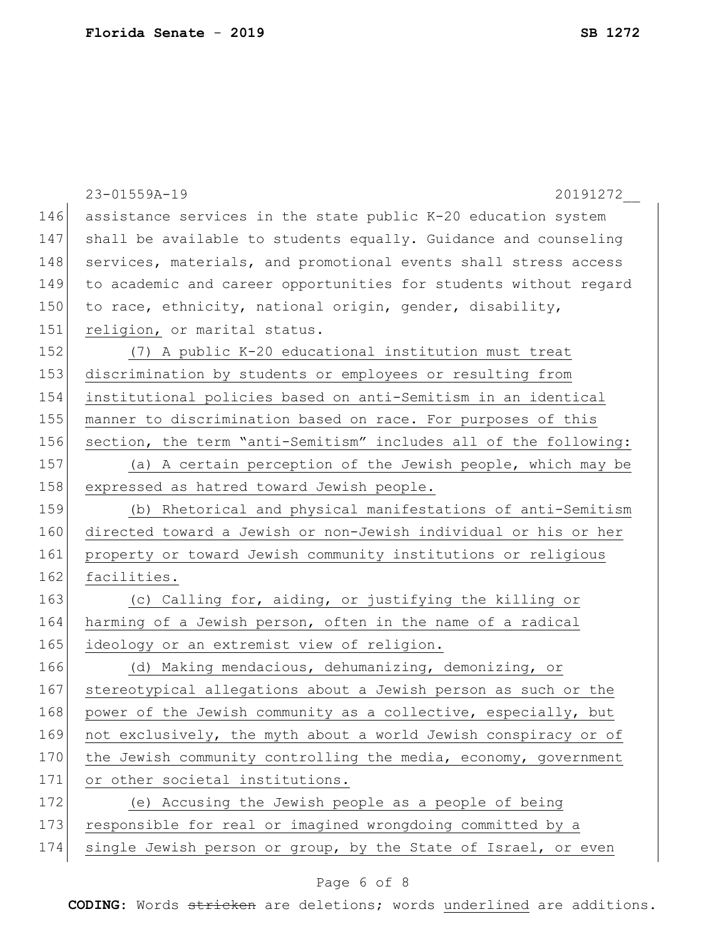|     | 23-01559A-19<br>20191272                                         |
|-----|------------------------------------------------------------------|
| 146 | assistance services in the state public K-20 education system    |
| 147 | shall be available to students equally. Guidance and counseling  |
| 148 | services, materials, and promotional events shall stress access  |
| 149 | to academic and career opportunities for students without regard |
| 150 | to race, ethnicity, national origin, gender, disability,         |
| 151 | religion, or marital status.                                     |
| 152 | (7) A public K-20 educational institution must treat             |
| 153 | discrimination by students or employees or resulting from        |
| 154 | institutional policies based on anti-Semitism in an identical    |
| 155 | manner to discrimination based on race. For purposes of this     |
| 156 | section, the term "anti-Semitism" includes all of the following: |
| 157 | (a) A certain perception of the Jewish people, which may be      |
| 158 | expressed as hatred toward Jewish people.                        |
| 159 | (b) Rhetorical and physical manifestations of anti-Semitism      |
| 160 | directed toward a Jewish or non-Jewish individual or his or her  |
| 161 | property or toward Jewish community institutions or religious    |
| 162 | facilities.                                                      |
| 163 | (c) Calling for, aiding, or justifying the killing or            |
| 164 | harming of a Jewish person, often in the name of a radical       |
| 165 | ideology or an extremist view of religion.                       |
| 166 | (d) Making mendacious, dehumanizing, demonizing, or              |
| 167 | stereotypical allegations about a Jewish person as such or the   |
| 168 | power of the Jewish community as a collective, especially, but   |
| 169 | not exclusively, the myth about a world Jewish conspiracy or of  |
| 170 | the Jewish community controlling the media, economy, government  |
| 171 | or other societal institutions.                                  |
| 172 | (e) Accusing the Jewish people as a people of being              |
| 173 | responsible for real or imagined wrongdoing committed by a       |
| 174 | single Jewish person or group, by the State of Israel, or even   |
|     |                                                                  |

# Page 6 of 8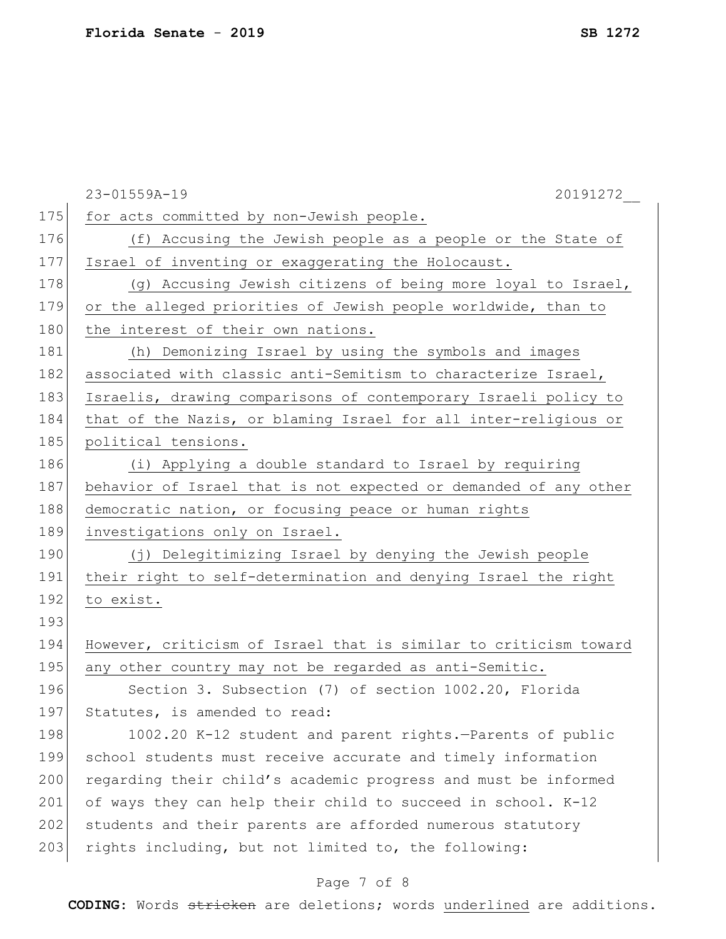|     | 23-01559A-19<br>20191272                                         |
|-----|------------------------------------------------------------------|
| 175 | for acts committed by non-Jewish people.                         |
| 176 | (f) Accusing the Jewish people as a people or the State of       |
| 177 | Israel of inventing or exaggerating the Holocaust.               |
| 178 | (g) Accusing Jewish citizens of being more loyal to Israel,      |
| 179 | or the alleged priorities of Jewish people worldwide, than to    |
| 180 | the interest of their own nations.                               |
| 181 | (h) Demonizing Israel by using the symbols and images            |
| 182 | associated with classic anti-Semitism to characterize Israel,    |
| 183 | Israelis, drawing comparisons of contemporary Israeli policy to  |
| 184 | that of the Nazis, or blaming Israel for all inter-religious or  |
| 185 | political tensions.                                              |
| 186 | (i) Applying a double standard to Israel by requiring            |
| 187 | behavior of Israel that is not expected or demanded of any other |
| 188 | democratic nation, or focusing peace or human rights             |
| 189 | investigations only on Israel.                                   |
| 190 | (j) Delegitimizing Israel by denying the Jewish people           |
| 191 | their right to self-determination and denying Israel the right   |
| 192 | to exist.                                                        |
| 193 |                                                                  |
| 194 | However, criticism of Israel that is similar to criticism toward |
| 195 | any other country may not be regarded as anti-Semitic.           |
| 196 | Section 3. Subsection (7) of section 1002.20, Florida            |
| 197 | Statutes, is amended to read:                                    |
| 198 | 1002.20 K-12 student and parent rights.-Parents of public        |
| 199 | school students must receive accurate and timely information     |
| 200 | regarding their child's academic progress and must be informed   |
| 201 | of ways they can help their child to succeed in school. K-12     |
| 202 | students and their parents are afforded numerous statutory       |
| 203 | rights including, but not limited to, the following:             |
|     | Page 7 of 8                                                      |